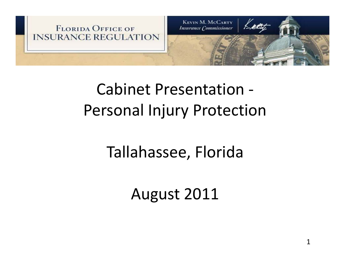

#### Cabinet Presentation ‐ Personal Injury Protection

#### Tallahassee, Florida

August 2011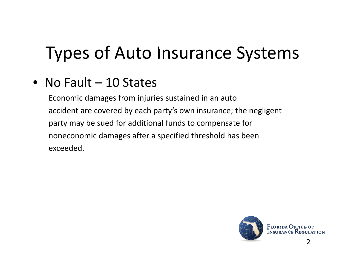## Types of Auto Insurance Systems

• No Fault – 10 States

Economic damages from injuries sustained in an auto accident are covered by each party's own insurance; the negligent party may be sued for additional funds to compensate for noneconomic damages after <sup>a</sup> specified threshold has been exceeded.

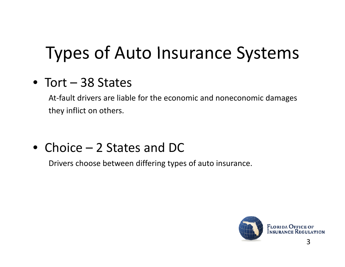## Types of Auto Insurance Systems

#### • Tort – 38 States

At‐fault drivers are liable for the economic and noneconomic damages they inflict on others.

#### • Choice – 2 States and DC

Drivers choose between differing types of auto insurance.

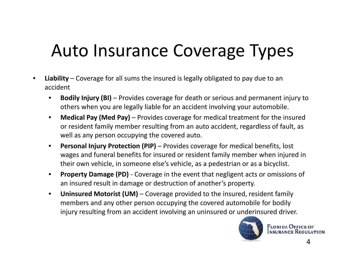## Auto Insurance Coverage Types

- • **Liability** – Coverage for all sums the insured is legally obligated to pay due to an accident
	- • **Bodily Injury (BI)** – Provides coverage for death or serious and permanent injury to others when you are legally liable for an accident involving your automobile.
	- $\bullet$  **Medical Pay (Med Pay)** – Provides coverage for medical treatment for the insured or resident family member resulting from an auto accident, regardless of fault, as well as any person occupying the covered auto.
	- $\bullet$  **Personal Injury Protection (PIP)** – Provides coverage for medical benefits, lost wages and funeral benefits for insured or resident family member when injured in their own vehicle, in someone else's vehicle, as <sup>a</sup> pedestrian or as <sup>a</sup> bicyclist.
	- $\bullet$  **Property Damage (PD)** ‐ Coverage in the event that negligent acts or omissions of an insured result in damage or destruction of another's property.
	- • **Uninsured Motorist (UM)** – Coverage provided to the insured, resident family members and any other person occupying the covered automobile for bodily injury resulting from an accident involving an uninsured or underinsured driver.

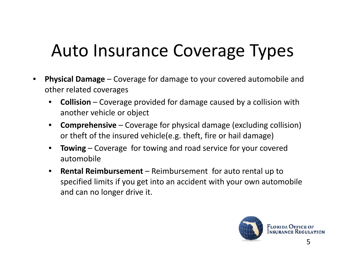#### Auto Insurance Coverage Types

- • **Physical Damage** – Coverage for damage to your covered automobile and other related coverages
	- $\bullet$  **Collision** – Coverage provided for damage caused by <sup>a</sup> collision with another vehicle or object
	- $\bullet$  **Comprehensive** – Coverage for physical damage (excluding collision) or theft of the insured vehicle(e.g. theft, fire or hail damage)
	- $\bullet$  **Towing** – Coverage for towing and road service for your covered automobile
	- $\bullet$  **Rental Reimbursement** – Reimbursement for auto rental up to specified limits if you get into an accident with your own automobile and can no longer drive it.

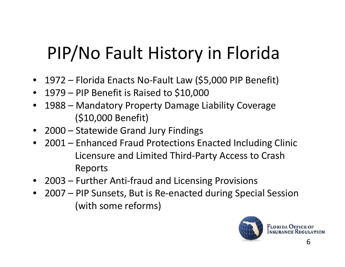## PIP/No Fault History in Florida

- 1972 Florida Enacts No-Fault Law (\$5,000 PIP Benefit)
- 1979 PIP Benefit is Raised to \$10,000
- 1988 Mandatory Property Damage Liability Coverage (\$10,000 Benefit)
- 2000 Statewide Grand Jury Findings
- 2001 Enhanced Fraud Protections Enacted Including Clinic Licensure and Limited Third-Party Access to Crash Reports
- 2003 Further Anti-fraud and Licensing Provisions
- 2007 PIP Sunsets, But is Re-enacted during Special Session (with some reforms)

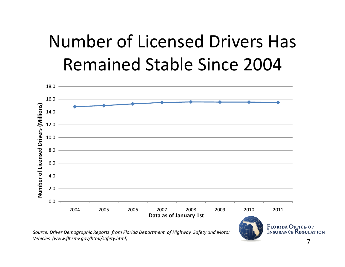#### Number of Licensed Drivers Has Remained Stable Since 2004



*Source: Driver Demographic Reports from Florida Department of Highway Safety and Motor Vehicles (www.flhsmv.gov/html/safety.html)* <sup>7</sup>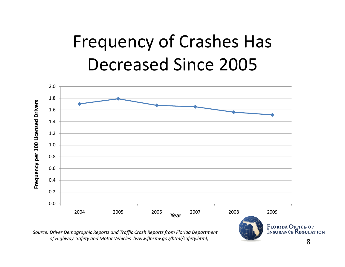#### Frequency of Crashes Has Decreased Since 2005



*Source: Driver Demographic Reports and Traffic Crash Reports from Florida Department of Highway Safety and Motor Vehicles (www.flhsmv.gov/html/safety.html)* <sup>8</sup>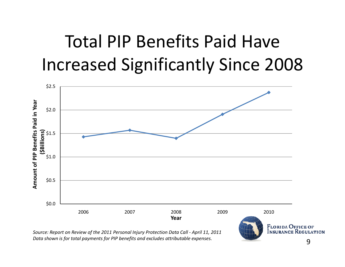#### Total PIP Benefits Paid Have Increased Significantly Since 2008



*Source: Report on Review of the 2011 Personal Injury Protection Data Call ‐ April 11, 2011 Data shown is for total payments for PIP benefits and excludes attributable expenses.*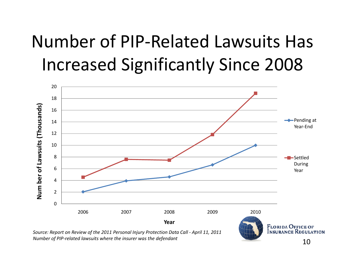## Number of PIP-Related Lawsuits Has **Increased Significantly Since 2008**



Source: Report on Review of the 2011 Personal Injury Protection Data Call - April 11, 2011 Number of PIP-related lawsuits where the insurer was the defendant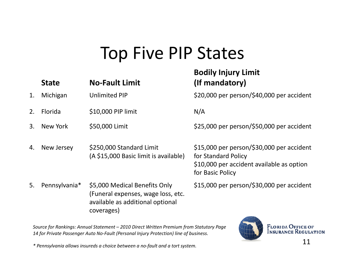#### **Top Five PIP States**

#### **Bodily Injury Limit No-Fault Limit** (If mandatory) **State** \$20,000 per person/\$40,000 per accident  $1<sub>1</sub>$ Michigan **Unlimited PIP** Florida  $2<sub>1</sub>$ \$10,000 PIP limit  $N/A$ \$25,000 per person/\$50,000 per accident  $\mathcal{R}$ New York \$50,000 Limit \$15,000 per person/\$30,000 per accident New Jersey \$250,000 Standard Limit  $\mathbf{A}_{\cdot}$ (A \$15,000 Basic limit is available) for Standard Policy \$10,000 per accident available as option for Basic Policy 5. Pennsylvania\* \$5,000 Medical Benefits Only \$15,000 per person/\$30,000 per accident (Funeral expenses, wage loss, etc. available as additional optional coverages)

Source for Rankings: Annual Statement - 2010 Direct Written Premium from Statutory Page 14 for Private Passenger Auto No-Fault (Personal Injury Protection) line of business.



\* Pennsylvania allows insureds a choice between a no-fault and a tort system.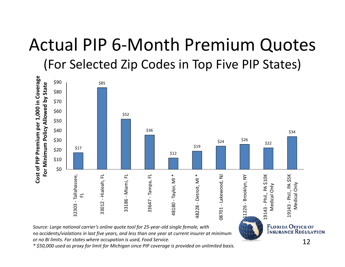# Actual PIP 6 ‐Month Premium Quotes

(For Selected Zip Codes in Top Five PIP States)



*Source: Large national carrier's online quote tool for 25‐year‐old single female, with no accidents/violations in last five years, and less than one year at current insurer at minimum*

*or no BI limits. For states where occupation is used, Food Service.*

*\* \$50,000 used as proxy for limit for Michigan since PIP coverage is provided on unlimited basis.*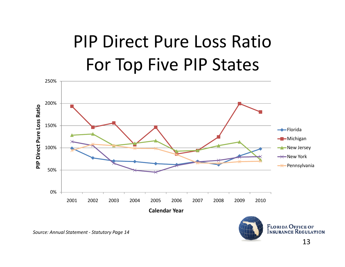#### PIP Direct Pure Loss RatioFor Top Five PIP States

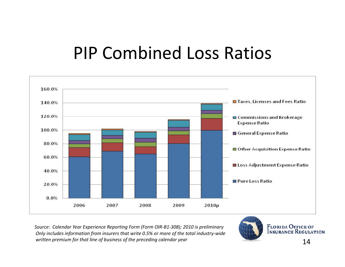#### **PIP Combined Loss Ratios**



Source: Calendar Year Experience Reporting Form (Form OIR-B1-308); 2010 is preliminary Only includes information from insurers that write 0.5% or more of the total industry-wide written premium for that line of business of the preceding calendar year

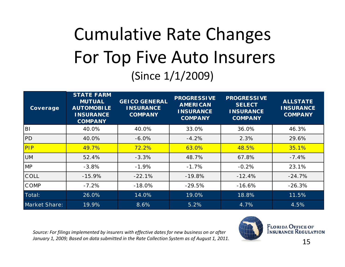#### Cumulative Rate Changes For Top Five Auto Insurers (Since 1/1/2009)

| Coverage             | <b>STATE FARM</b><br><b>MUTUAL</b><br><b>AUTOMOBILE</b><br><b>INSURANCE</b><br><b>COMPANY</b> | <b>GEICO GENERAL</b><br><b>INSURANCE</b><br><b>COMPANY</b> | <b>PROGRESSIVE</b><br><b>AMERICAN</b><br><b>INSURANCE</b><br><b>COMPANY</b> | <b>PROGRESSIVE</b><br><b>SELECT</b><br><b>INSURANCE</b><br><b>COMPANY</b> | <b>ALLSTATE</b><br><b>INSURANCE</b><br><b>COMPANY</b> |
|----------------------|-----------------------------------------------------------------------------------------------|------------------------------------------------------------|-----------------------------------------------------------------------------|---------------------------------------------------------------------------|-------------------------------------------------------|
| <b>BI</b>            | 40.0%                                                                                         | 40.0%                                                      | 33.0%                                                                       | 36.0%                                                                     | 46.3%                                                 |
| PD                   | 40.0%                                                                                         | $-6.0\%$                                                   | $-4.2%$                                                                     | 2.3%                                                                      | 29.6%                                                 |
| PIP                  | 49.7%                                                                                         | 72.2%                                                      | 63.0%                                                                       | 48.5%                                                                     | 35.1%                                                 |
| <b>UM</b>            | 52.4%                                                                                         | $-3.3%$                                                    | 48.7%                                                                       | 67.8%                                                                     | $-7.4%$                                               |
| <b>MP</b>            | $-3.8%$                                                                                       | $-1.9%$                                                    | $-1.7%$                                                                     | $-0.2%$                                                                   | 23.1%                                                 |
| COLL                 | $-15.9%$                                                                                      | $-22.1%$                                                   | $-19.8%$                                                                    | $-12.4%$                                                                  | $-24.7%$                                              |
| <b>COMP</b>          | $-7.2%$                                                                                       | $-18.0%$                                                   | $-29.5%$                                                                    | $-16.6%$                                                                  | $-26.3%$                                              |
| Total:               | 26.0%                                                                                         | 14.0%                                                      | 19.0%                                                                       | 18.8%                                                                     | 11.5%                                                 |
| <b>Market Share:</b> | 19.9%                                                                                         | 8.6%                                                       | 5.2%                                                                        | 4.7%                                                                      | 4.5%                                                  |

*Source: For filings implemented by insurers with effective dates for new business on or after January 1, 2009; Based on data submitted in the Rate Collection System as of August 1, 2011.* <sup>15</sup>

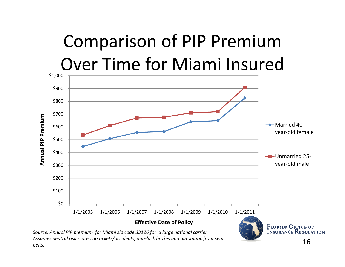## Comparison of PIP Premium Over Time for Miami Insured



*Source: Annual PIP premium for Miami zip code 33126 for <sup>a</sup> large national carrier. Assumes neutral risk score , no tickets/accidents, anti‐lock brakes and automatic front seat belts.*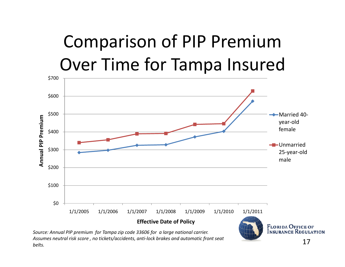### Comparison of PIP Premium Over Time for Tampa Insured



*Assumes neutral risk score , no tickets/accidents, anti‐lock brakes and automatic front seat belts.*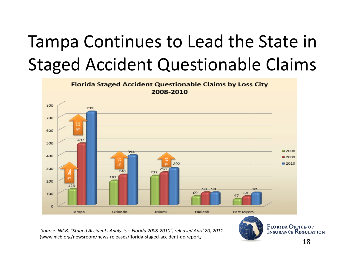## Tampa Continues to Lead the State in Staged Accident Questionable Claims



*Source: NICB, "Staged Accidents Analysis – Florida 2008‐2010", released April 20, 2011* (www.nicb.org/newsroom/news‐releases/florida‐staged‐accident‐qc‐report*)* 18

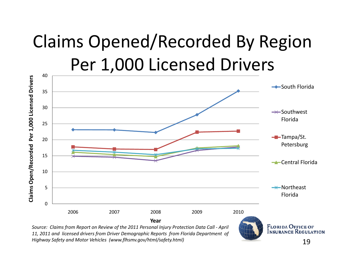#### Claims Opened/Recorded By Region Per 1,000 Licensed Drivers 40



*11, 2011 and licensed drivers from Driver Demographic Reports from Florida Department of Highway Safety and Motor Vehicles (www.flhsmv.gov/html/safety.html)* 19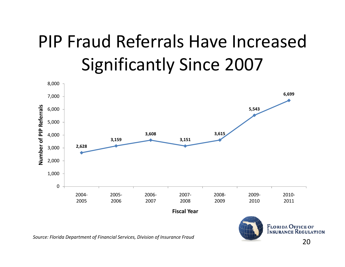## PIP Fraud Referrals Have Increased Significantly Since 2007



*Source: Florida Department of Financial Services, Division of Insurance Fraud* 20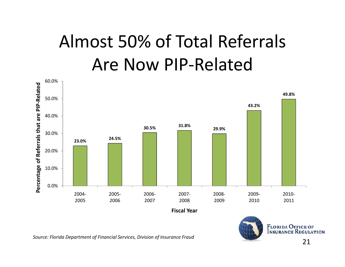#### Almost 50% of Total Referrals Are Now PIP‐Related





*Source: Florida Department of Financial Services, Division of Insurance Fraud* 21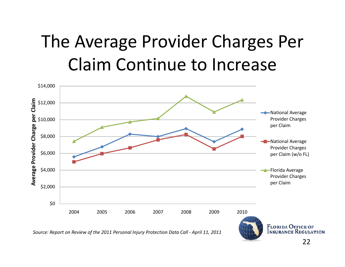#### The Average Provider Charges Per Claim Continue to Increase

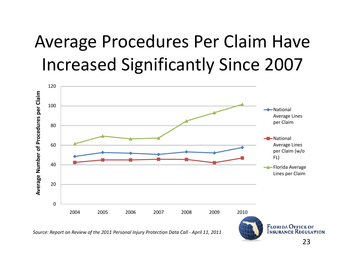#### Average Procedures Per Claim Have Increased Significantly Since 2007



*Source: Report on Review of the 2011 Personal Injury Protection Data Call ‐ April 11, 2011*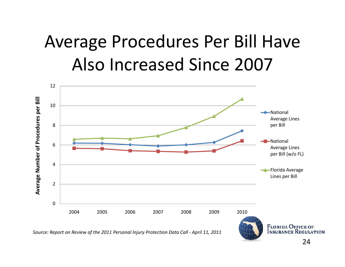#### Average Procedures Per Bill Have Also Increased Since 2007

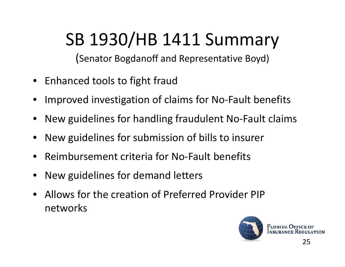## SB 1930/HB 1411 Summary

(Senator Bogdanoff and Representative Boyd)

- Enhanced tools to fight fraud
- •Improved investigation of claims for No‐Fault benefits
- •• New guidelines for handling fraudulent No-Fault claims
- •New guidelines for submission of bills to insurer
- $\bullet$ ● Reimbursement criteria for No-Fault benefits
- •• New guidelines for demand letters
- Allows for the creation of Preferred Provider PIP networks